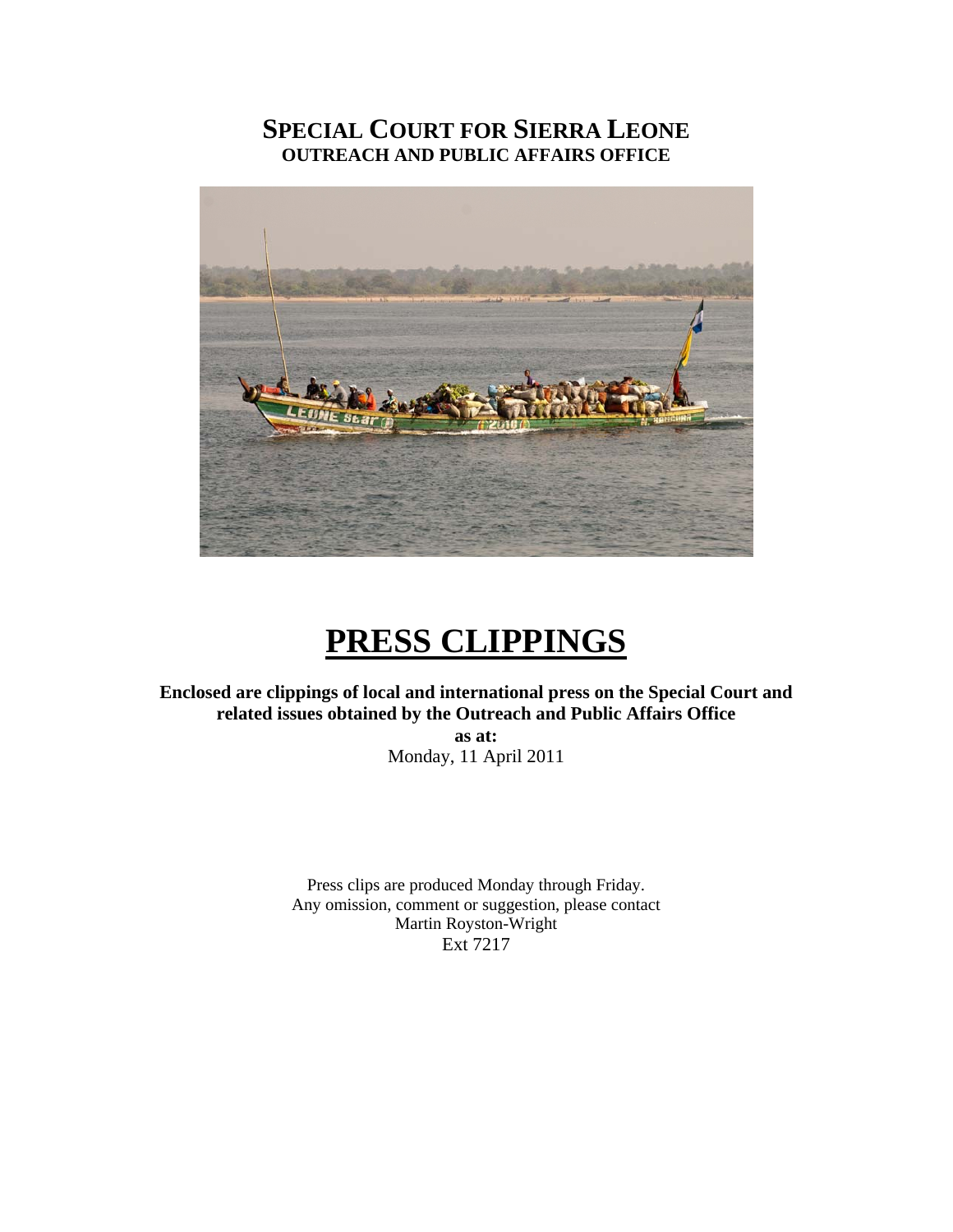## **SPECIAL COURT FOR SIERRA LEONE OUTREACH AND PUBLIC AFFAIRS OFFICE**



# **PRESS CLIPPINGS**

**Enclosed are clippings of local and international press on the Special Court and related issues obtained by the Outreach and Public Affairs Office** 

**as at:**  Monday, 11 April 2011

Press clips are produced Monday through Friday. Any omission, comment or suggestion, please contact Martin Royston-Wright Ext 7217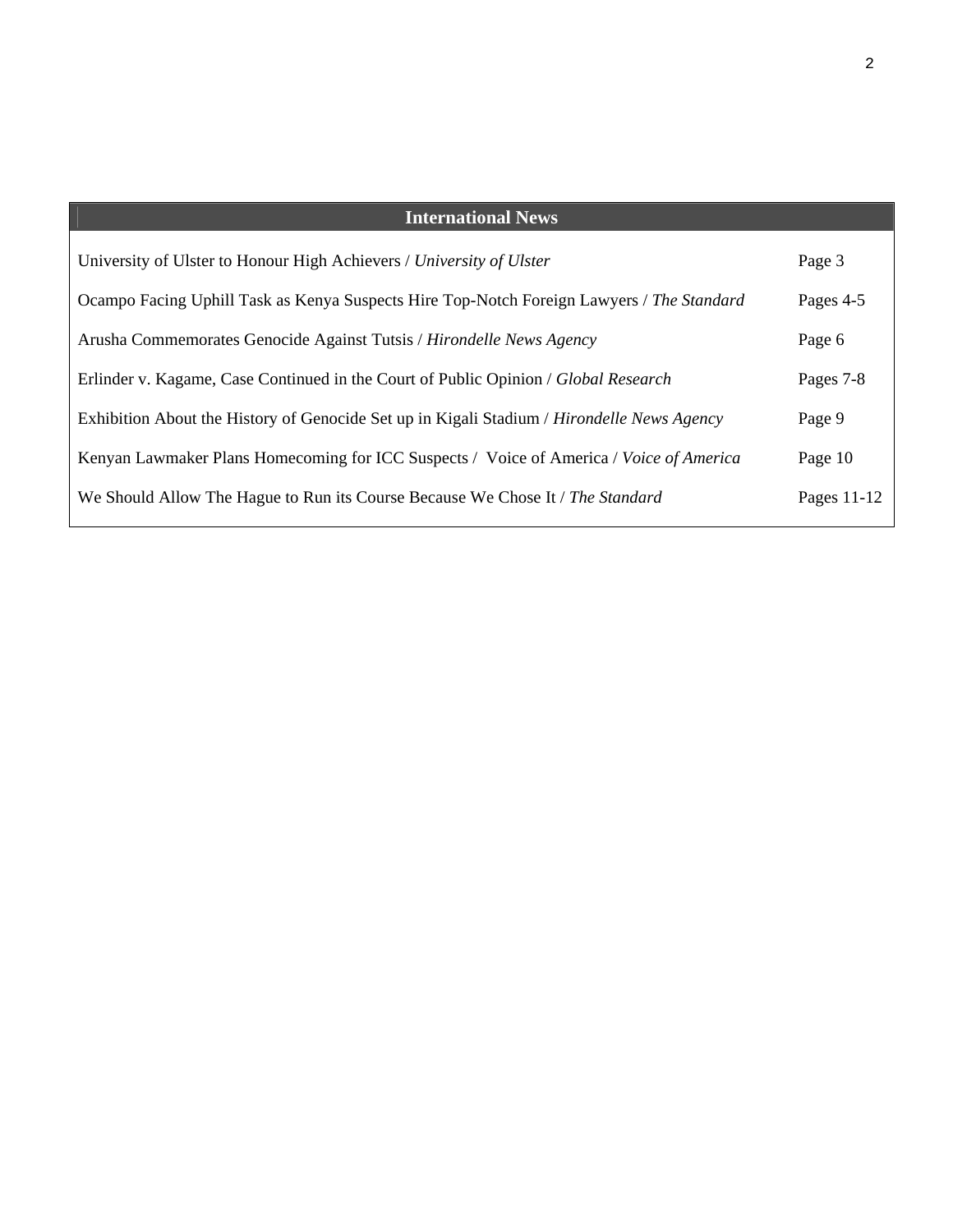| <b>International News</b>                                                                  |             |
|--------------------------------------------------------------------------------------------|-------------|
| University of Ulster to Honour High Achievers / University of Ulster                       | Page 3      |
| Ocampo Facing Uphill Task as Kenya Suspects Hire Top-Notch Foreign Lawyers / The Standard  | Pages 4-5   |
| Arusha Commemorates Genocide Against Tutsis / Hirondelle News Agency                       | Page 6      |
| Erlinder v. Kagame, Case Continued in the Court of Public Opinion / Global Research        | Pages 7-8   |
| Exhibition About the History of Genocide Set up in Kigali Stadium / Hirondelle News Agency | Page 9      |
| Kenyan Lawmaker Plans Homecoming for ICC Suspects / Voice of America / Voice of America    | Page 10     |
| We Should Allow The Hague to Run its Course Because We Chose It / The Standard             | Pages 11-12 |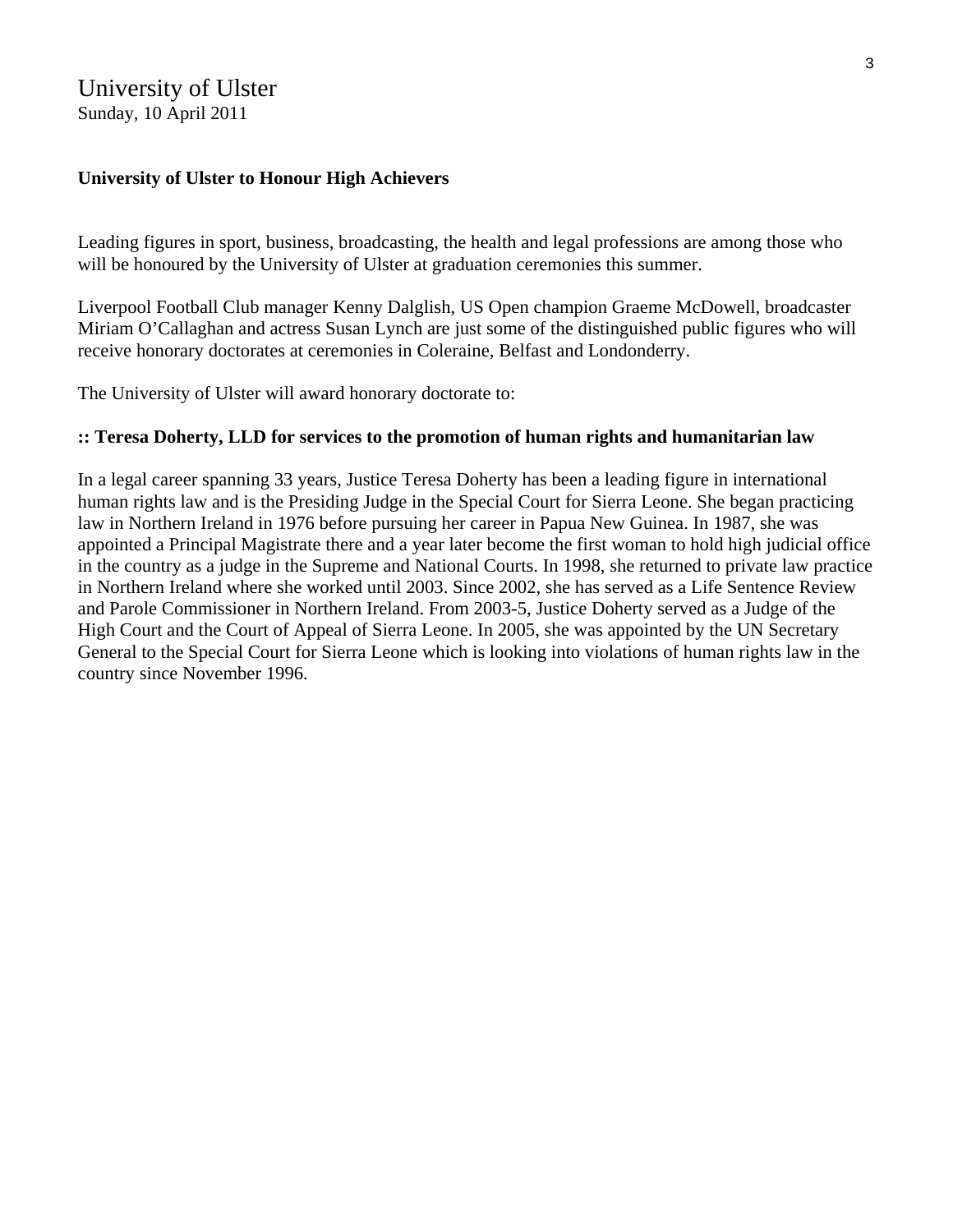### University of Ulster Sunday, 10 April 2011

#### **University of Ulster to Honour High Achievers**

Leading figures in sport, business, broadcasting, the health and legal professions are among those who will be honoured by the University of Ulster at graduation ceremonies this summer.

Liverpool Football Club manager Kenny Dalglish, US Open champion Graeme McDowell, broadcaster Miriam O'Callaghan and actress Susan Lynch are just some of the distinguished public figures who will receive honorary doctorates at ceremonies in Coleraine, Belfast and Londonderry.

The University of Ulster will award honorary doctorate to:

#### **:: Teresa Doherty, LLD for services to the promotion of human rights and humanitarian law**

In a legal career spanning 33 years, Justice Teresa Doherty has been a leading figure in international human rights law and is the Presiding Judge in the Special Court for Sierra Leone. She began practicing law in Northern Ireland in 1976 before pursuing her career in Papua New Guinea. In 1987, she was appointed a Principal Magistrate there and a year later become the first woman to hold high judicial office in the country as a judge in the Supreme and National Courts. In 1998, she returned to private law practice in Northern Ireland where she worked until 2003. Since 2002, she has served as a Life Sentence Review and Parole Commissioner in Northern Ireland. From 2003-5, Justice Doherty served as a Judge of the High Court and the Court of Appeal of Sierra Leone. In 2005, she was appointed by the UN Secretary General to the Special Court for Sierra Leone which is looking into violations of human rights law in the country since November 1996.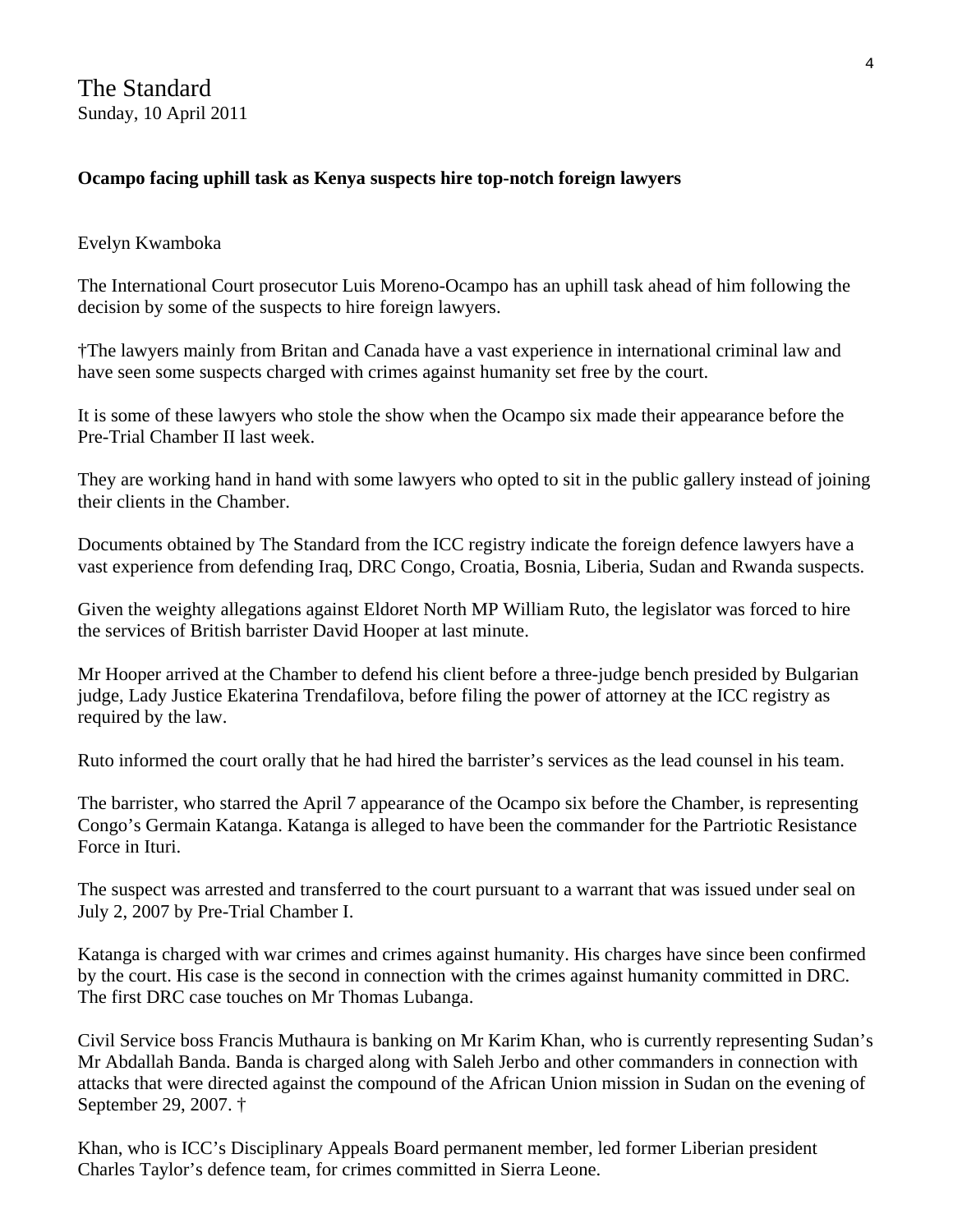The Standard Sunday, 10 April 2011

#### **Ocampo facing uphill task as Kenya suspects hire top-notch foreign lawyers**

#### Evelyn Kwamboka

The International Court prosecutor Luis Moreno-Ocampo has an uphill task ahead of him following the decision by some of the suspects to hire foreign lawyers.

†The lawyers mainly from Britan and Canada have a vast experience in international criminal law and have seen some suspects charged with crimes against humanity set free by the court.

It is some of these lawyers who stole the show when the Ocampo six made their appearance before the Pre-Trial Chamber II last week.

They are working hand in hand with some lawyers who opted to sit in the public gallery instead of joining their clients in the Chamber.

Documents obtained by The Standard from the ICC registry indicate the foreign defence lawyers have a vast experience from defending Iraq, DRC Congo, Croatia, Bosnia, Liberia, Sudan and Rwanda suspects.

Given the weighty allegations against Eldoret North MP William Ruto, the legislator was forced to hire the services of British barrister David Hooper at last minute.

Mr Hooper arrived at the Chamber to defend his client before a three-judge bench presided by Bulgarian judge, Lady Justice Ekaterina Trendafilova, before filing the power of attorney at the ICC registry as required by the law.

Ruto informed the court orally that he had hired the barrister's services as the lead counsel in his team.

The barrister, who starred the April 7 appearance of the Ocampo six before the Chamber, is representing Congo's Germain Katanga. Katanga is alleged to have been the commander for the Partriotic Resistance Force in Ituri.

The suspect was arrested and transferred to the court pursuant to a warrant that was issued under seal on July 2, 2007 by Pre-Trial Chamber I.

Katanga is charged with war crimes and crimes against humanity. His charges have since been confirmed by the court. His case is the second in connection with the crimes against humanity committed in DRC. The first DRC case touches on Mr Thomas Lubanga.

Civil Service boss Francis Muthaura is banking on Mr Karim Khan, who is currently representing Sudan's Mr Abdallah Banda. Banda is charged along with Saleh Jerbo and other commanders in connection with attacks that were directed against the compound of the African Union mission in Sudan on the evening of September 29, 2007. †

Khan, who is ICC's Disciplinary Appeals Board permanent member, led former Liberian president Charles Taylor's defence team, for crimes committed in Sierra Leone.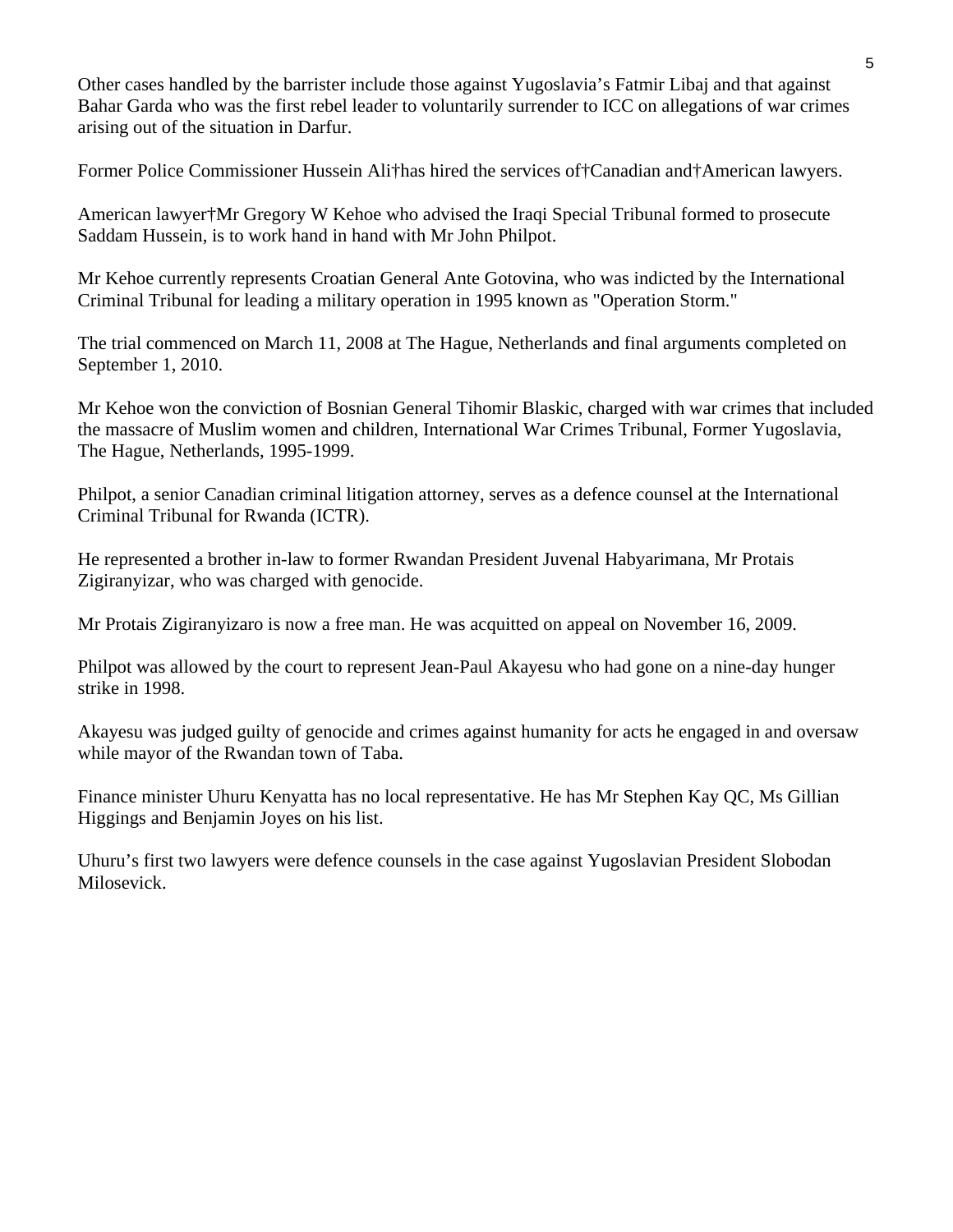Other cases handled by the barrister include those against Yugoslavia's Fatmir Libaj and that against Bahar Garda who was the first rebel leader to voluntarily surrender to ICC on allegations of war crimes arising out of the situation in Darfur.

Former Police Commissioner Hussein Ali†has hired the services of†Canadian and†American lawyers.

American lawyer†Mr Gregory W Kehoe who advised the Iraqi Special Tribunal formed to prosecute Saddam Hussein, is to work hand in hand with Mr John Philpot.

Mr Kehoe currently represents Croatian General Ante Gotovina, who was indicted by the International Criminal Tribunal for leading a military operation in 1995 known as "Operation Storm."

The trial commenced on March 11, 2008 at The Hague, Netherlands and final arguments completed on September 1, 2010.

Mr Kehoe won the conviction of Bosnian General Tihomir Blaskic, charged with war crimes that included the massacre of Muslim women and children, International War Crimes Tribunal, Former Yugoslavia, The Hague, Netherlands, 1995-1999.

Philpot, a senior Canadian criminal litigation attorney, serves as a defence counsel at the International Criminal Tribunal for Rwanda (ICTR).

He represented a brother in-law to former Rwandan President Juvenal Habyarimana, Mr Protais Zigiranyizar, who was charged with genocide.

Mr Protais Zigiranyizaro is now a free man. He was acquitted on appeal on November 16, 2009.

Philpot was allowed by the court to represent Jean-Paul Akayesu who had gone on a nine-day hunger strike in 1998.

Akayesu was judged guilty of genocide and crimes against humanity for acts he engaged in and oversaw while mayor of the Rwandan town of Taba.

Finance minister Uhuru Kenyatta has no local representative. He has Mr Stephen Kay QC, Ms Gillian Higgings and Benjamin Joyes on his list.

Uhuru's first two lawyers were defence counsels in the case against Yugoslavian President Slobodan Milosevick.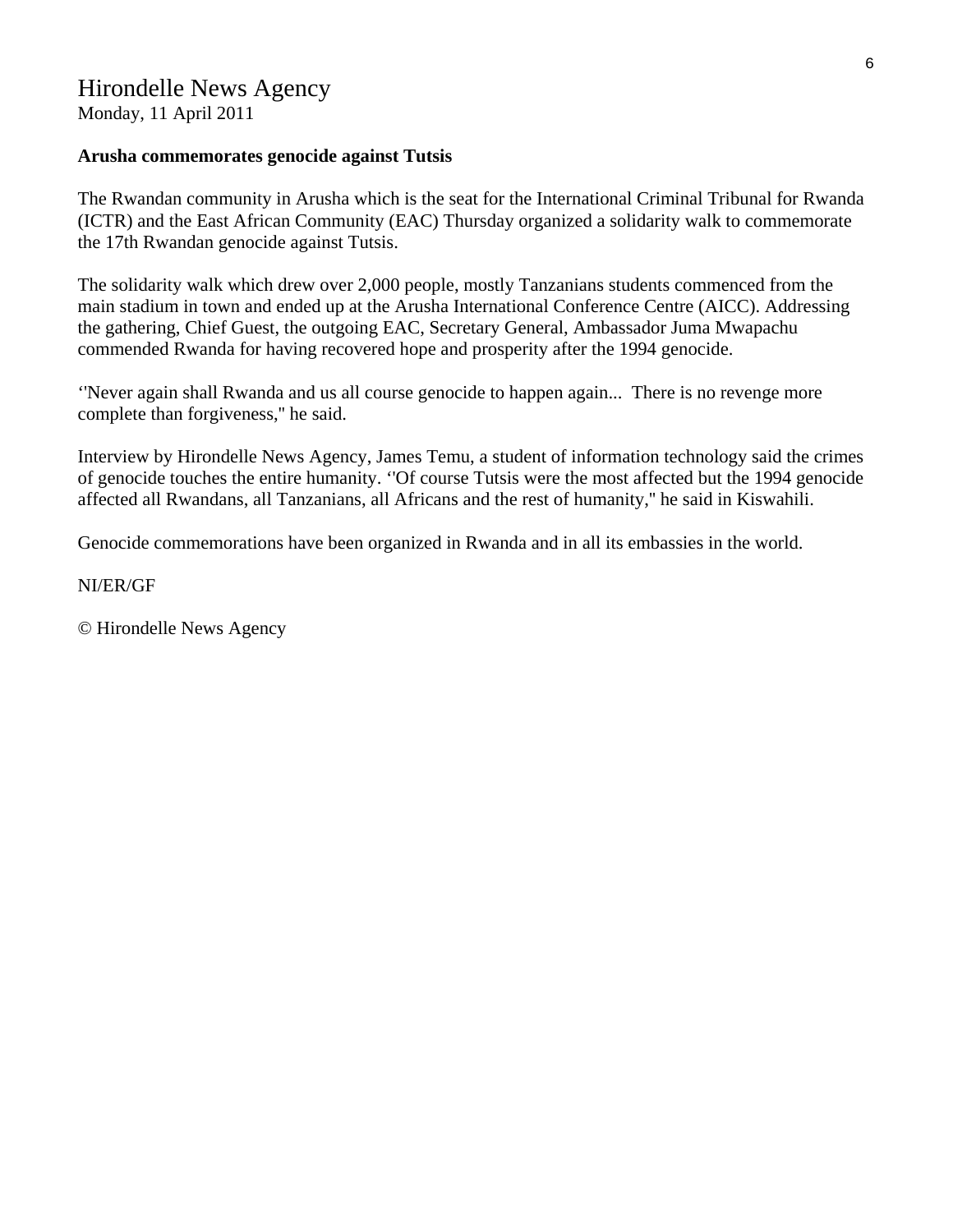## Hirondelle News Agency

Monday, 11 April 2011

#### **Arusha commemorates genocide against Tutsis**

The Rwandan community in Arusha which is the seat for the International Criminal Tribunal for Rwanda (ICTR) and the East African Community (EAC) Thursday organized a solidarity walk to commemorate the 17th Rwandan genocide against Tutsis.

The solidarity walk which drew over 2,000 people, mostly Tanzanians students commenced from the main stadium in town and ended up at the Arusha International Conference Centre (AICC). Addressing the gathering, Chief Guest, the outgoing EAC, Secretary General, Ambassador Juma Mwapachu commended Rwanda for having recovered hope and prosperity after the 1994 genocide.

''Never again shall Rwanda and us all course genocide to happen again... There is no revenge more complete than forgiveness,'' he said.

Interview by Hirondelle News Agency, James Temu, a student of information technology said the crimes of genocide touches the entire humanity. ''Of course Tutsis were the most affected but the 1994 genocide affected all Rwandans, all Tanzanians, all Africans and the rest of humanity,'' he said in Kiswahili.

Genocide commemorations have been organized in Rwanda and in all its embassies in the world.

#### NI/ER/GF

© Hirondelle News Agency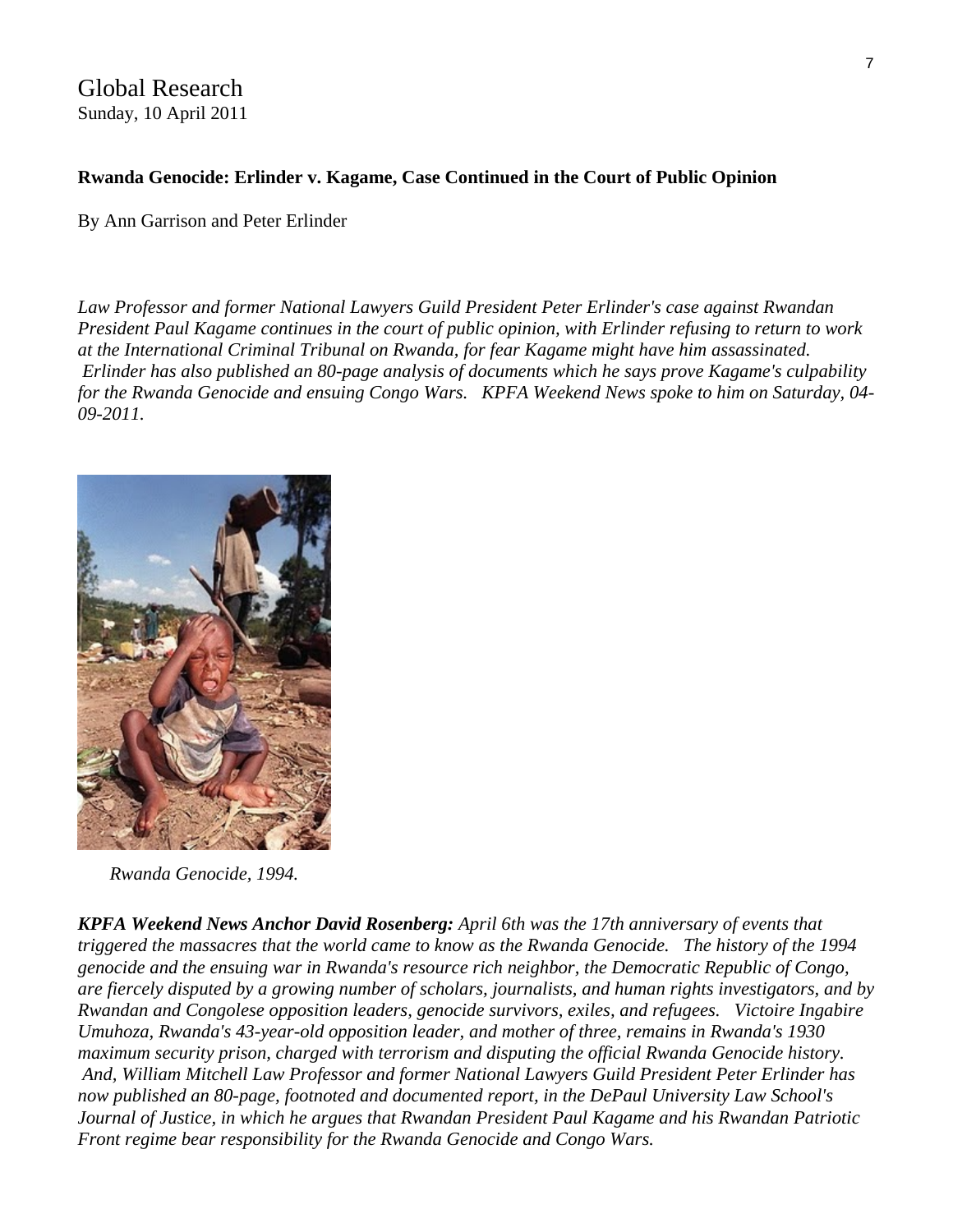Global Research Sunday, 10 April 2011

#### **Rwanda Genocide: Erlinder v. Kagame, Case Continued in the Court of Public Opinion**

By Ann Garrison and Peter Erlinder

*Law Professor and former National Lawyers Guild President Peter Erlinder's case against Rwandan President Paul Kagame continues in the court of public opinion, with Erlinder refusing to return to work at the International Criminal Tribunal on Rwanda, for fear Kagame might have him assassinated. Erlinder has also published an 80-page analysis of documents which he says prove Kagame's culpability for the Rwanda Genocide and ensuing Congo Wars. KPFA Weekend News spoke to him on Saturday, 04- 09-2011.*



*Rwanda Genocide, 1994.*

*KPFA Weekend News Anchor David Rosenberg: April 6th was the 17th anniversary of events that triggered the massacres that the world came to know as the Rwanda Genocide. The history of the 1994 genocide and the ensuing war in Rwanda's resource rich neighbor, the Democratic Republic of Congo, are fiercely disputed by a growing number of scholars, journalists, and human rights investigators, and by Rwandan and Congolese opposition leaders, genocide survivors, exiles, and refugees. [Victoire Ingabire](http://en.wikipedia.org/wiki/Victoire_Ingabire_Umuhoza)  [Umuhoza,](http://en.wikipedia.org/wiki/Victoire_Ingabire_Umuhoza) Rwanda's 43-year-old opposition leader, and mother of three, remains in Rwanda's 1930 maximum security prison, charged with terrorism and disputing the official Rwanda Genocide history. And, William Mitchell Law Professor and former National Lawyers Guild President [Peter Erlinder](http://www.wmitchell.edu/academics/faculty/erlinder.asp) has now published an 80-page, footnoted and documented report, in the DePaul University Law School's Journal of Justice, in which he argues that Rwandan President Paul Kagame and his Rwandan Patriotic Front regime bear responsibility for the Rwanda Genocide and Congo Wars.*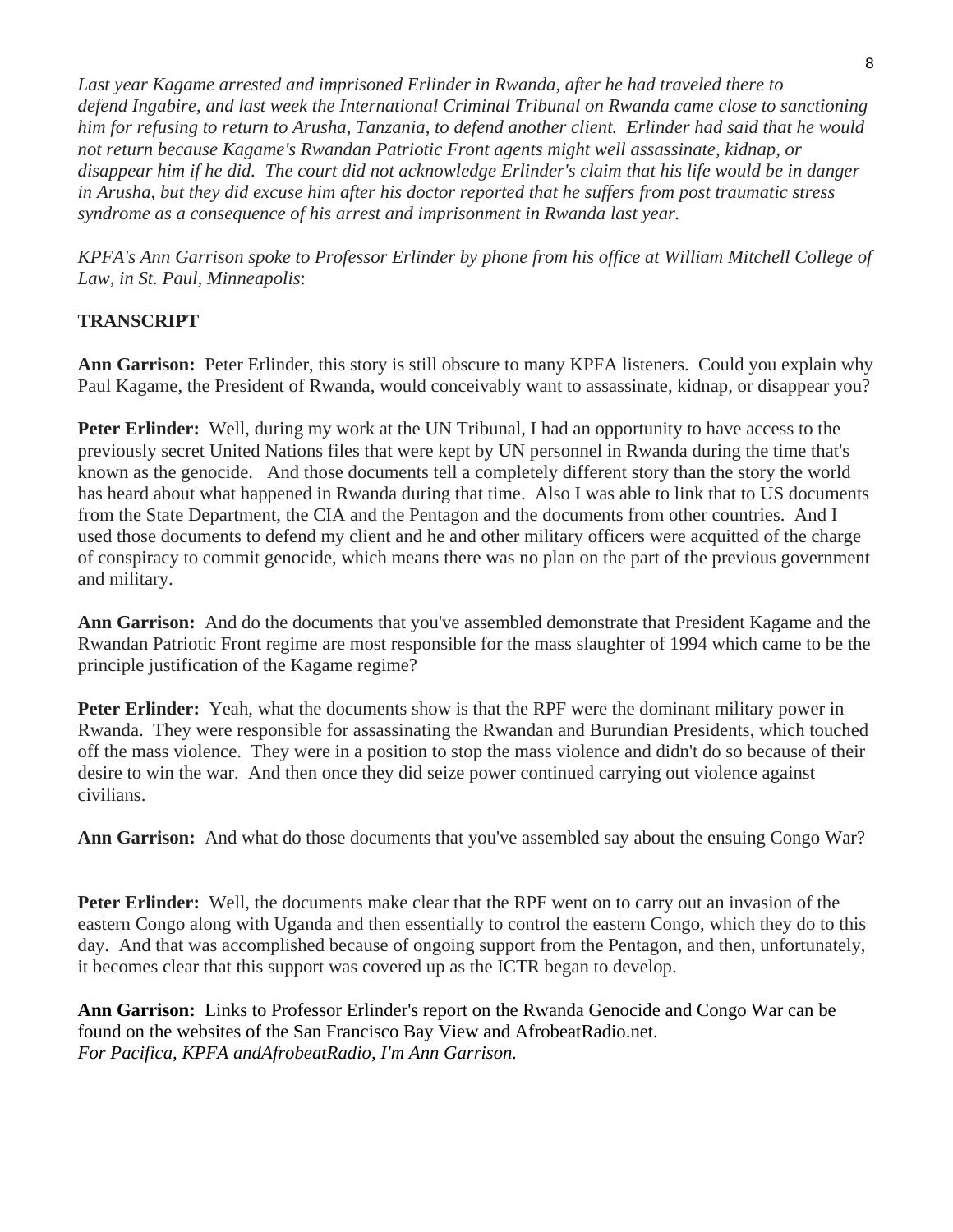*Last year Kagame arrested and imprisoned Erlinder in Rwanda, after he had traveled there to defend Ingabire, and last week the International Criminal Tribunal on Rwanda came close to sanctioning him for refusing to return to Arusha, Tanzania, to defend another client. Erlinder had said that he would not return because Kagame's Rwandan Patriotic Front agents might well assassinate, kidnap, or disappear him if he did. The court did not acknowledge Erlinder's claim that his life would be in danger in Arusha, but they did excuse him after his doctor reported that he suffers from post traumatic stress syndrome as a consequence of his arrest and imprisonment in Rwanda last year.*

*KPFA's Ann Garrison spoke to Professor Erlinder by phone from his office at William Mitchell College of Law, in St. Paul, Minneapolis*:

### **TRANSCRIPT**

**Ann Garrison:** Peter Erlinder, this story is still obscure to many KPFA listeners. Could you explain why Paul Kagame, the President of Rwanda, would conceivably want to assassinate, kidnap, or disappear you?

**Peter Erlinder:** Well, during my work at the UN Tribunal, I had an opportunity to have access to the previously secret United Nations files that were kept by UN personnel in Rwanda during the time that's known as the genocide. And those documents tell a completely different story than the story the world has heard about what happened in Rwanda during that time. Also I was able to link that to US documents from the State Department, the CIA and the Pentagon and the documents from other countries. And I used those documents to defend my client and he and other military officers were acquitted of the charge of conspiracy to commit genocide, which means there was no plan on the part of the previous government and military.

**Ann Garrison:** And do the documents that you've assembled demonstrate that President Kagame and the Rwandan Patriotic Front regime are most responsible for the mass slaughter of 1994 which came to be the principle justification of the Kagame regime?

**Peter Erlinder:** Yeah, what the documents show is that the RPF were the dominant military power in Rwanda. They were responsible for assassinating the Rwandan and Burundian Presidents, which touched off the mass violence. They were in a position to stop the mass violence and didn't do so because of their desire to win the war. And then once they did seize power continued carrying out violence against civilians.

**Ann Garrison:** And what do those documents that you've assembled say about the ensuing Congo War?

**Peter Erlinder:** Well, the documents make clear that the RPF went on to carry out an invasion of the eastern Congo along with Uganda and then essentially to control the eastern Congo, which they do to this day. And that was accomplished because of ongoing support from the Pentagon, and then, unfortunately, it becomes clear that this support was covered up as the ICTR began to develop.

**Ann Garrison:** Links to Professor Erlinder's report on the Rwanda Genocide and Congo War can be found on the websites of the [San Francisco Bay View](http://sfbayview.com/2011/the-united-nations-ad-hoc-tribunal-for-rwanda-ictr-tpir-international-justice-or-judicially-constructed-victors%E2%80%99-impunity/) [and AfrobeatRadio.net.](http://afrobeatradio.net/2011/04/10/the-united-nations-ad-hoc-tribunal-for-rwanda-ictr-tpir-international-justice-or-judicially-constructed-victors-impunity/) *For Pacifica, KPFA andAfrobeatRadio, I'm Ann Garrison.*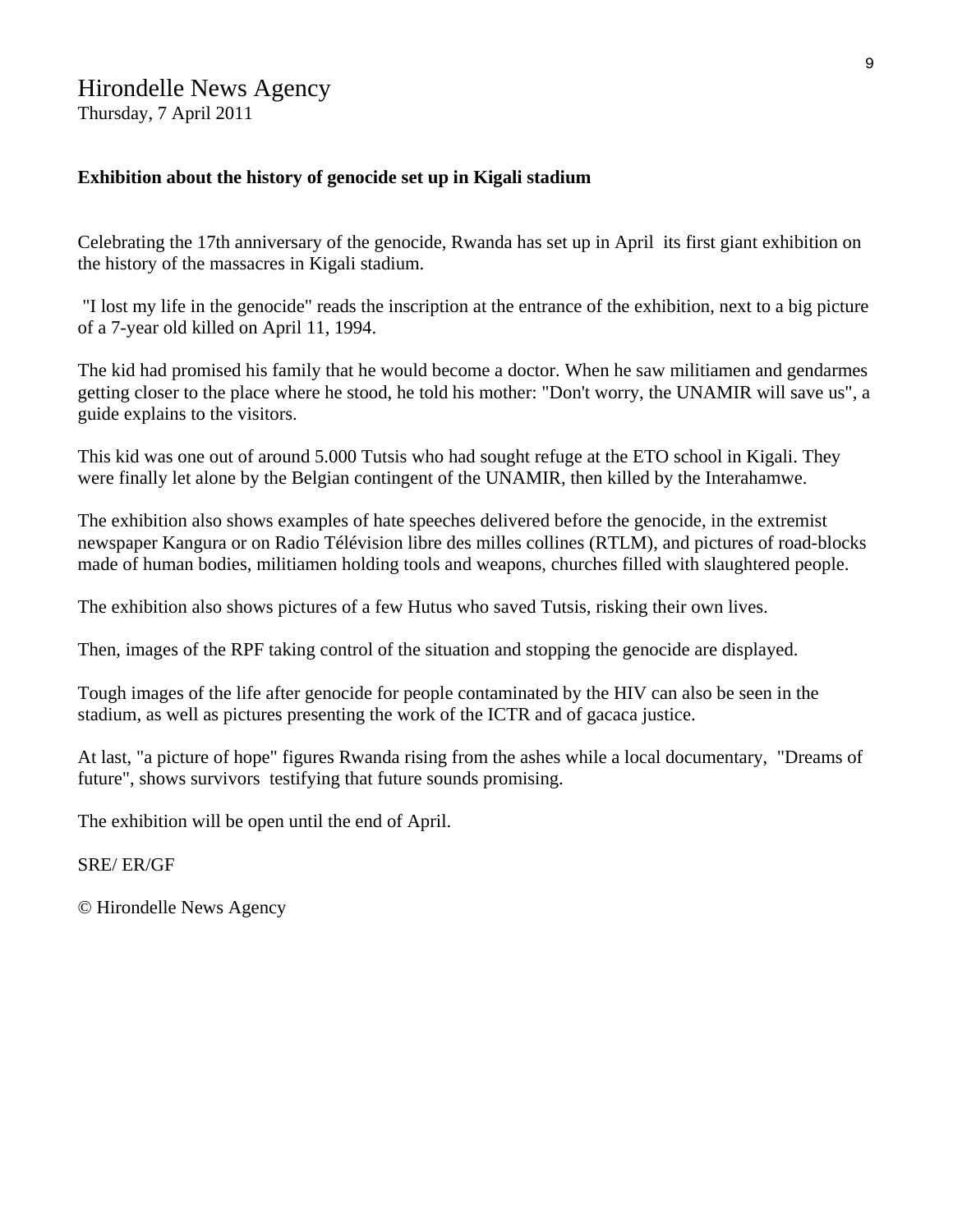## Hirondelle News Agency

Thursday, 7 April 2011

#### **Exhibition about the history of genocide set up in Kigali stadium**

Celebrating the 17th anniversary of the genocide, Rwanda has set up in April its first giant exhibition on the history of the massacres in Kigali stadium.

 "I lost my life in the genocide" reads the inscription at the entrance of the exhibition, next to a big picture of a 7-year old killed on April 11, 1994.

The kid had promised his family that he would become a doctor. When he saw militiamen and gendarmes getting closer to the place where he stood, he told his mother: "Don't worry, the UNAMIR will save us", a guide explains to the visitors.

This kid was one out of around 5.000 Tutsis who had sought refuge at the ETO school in Kigali. They were finally let alone by the Belgian contingent of the UNAMIR, then killed by the Interahamwe.

The exhibition also shows examples of hate speeches delivered before the genocide, in the extremist newspaper Kangura or on Radio Télévision libre des milles collines (RTLM), and pictures of road-blocks made of human bodies, militiamen holding tools and weapons, churches filled with slaughtered people.

The exhibition also shows pictures of a few Hutus who saved Tutsis, risking their own lives.

Then, images of the RPF taking control of the situation and stopping the genocide are displayed.

Tough images of the life after genocide for people contaminated by the HIV can also be seen in the stadium, as well as pictures presenting the work of the ICTR and of gacaca justice.

At last, "a picture of hope" figures Rwanda rising from the ashes while a local documentary, "Dreams of future", shows survivors testifying that future sounds promising.

The exhibition will be open until the end of April.

SRE/ ER/GF

© Hirondelle News Agency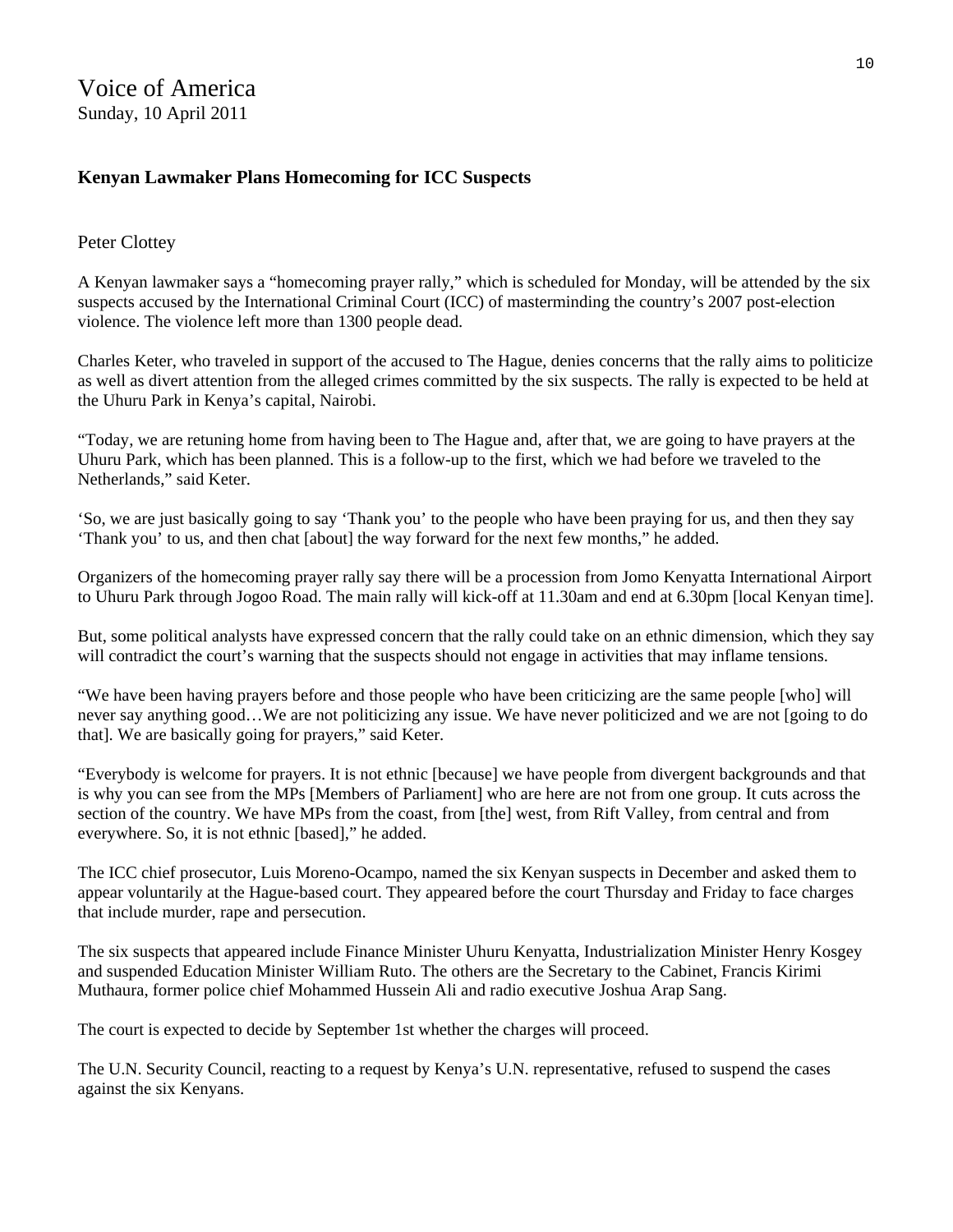#### **Kenyan Lawmaker Plans Homecoming for ICC Suspects**

#### Peter Clottey

A Kenyan lawmaker says a "homecoming prayer rally," which is scheduled for Monday, will be attended by the six suspects accused by the International Criminal Court (ICC) of masterminding the country's 2007 post-election violence. The violence left more than 1300 people dead.

Charles Keter, who traveled in support of the accused to The Hague, denies concerns that the rally aims to politicize as well as divert attention from the alleged crimes committed by the six suspects. The rally is expected to be held at the Uhuru Park in Kenya's capital, Nairobi.

"Today, we are retuning home from having been to The Hague and, after that, we are going to have prayers at the Uhuru Park, which has been planned. This is a follow-up to the first, which we had before we traveled to the Netherlands," said Keter.

'So, we are just basically going to say 'Thank you' to the people who have been praying for us, and then they say 'Thank you' to us, and then chat [about] the way forward for the next few months," he added.

Organizers of the homecoming prayer rally say there will be a procession from Jomo Kenyatta International Airport to Uhuru Park through Jogoo Road. The main rally will kick-off at 11.30am and end at 6.30pm [local Kenyan time].

But, some political analysts have expressed concern that the rally could take on an ethnic dimension, which they say will contradict the court's warning that the suspects should not engage in activities that may inflame tensions.

"We have been having prayers before and those people who have been criticizing are the same people [who] will never say anything good…We are not politicizing any issue. We have never politicized and we are not [going to do that]. We are basically going for prayers," said Keter.

"Everybody is welcome for prayers. It is not ethnic [because] we have people from divergent backgrounds and that is why you can see from the MPs [Members of Parliament] who are here are not from one group. It cuts across the section of the country. We have MPs from the coast, from [the] west, from Rift Valley, from central and from everywhere. So, it is not ethnic [based]," he added.

The ICC chief prosecutor, Luis Moreno-Ocampo, named the six Kenyan suspects in December and asked them to appear voluntarily at the Hague-based court. They appeared before the court Thursday and Friday to face charges that include murder, rape and persecution.

The six suspects that appeared include Finance Minister Uhuru Kenyatta, Industrialization Minister Henry Kosgey and suspended Education Minister William Ruto. The others are the Secretary to the Cabinet, Francis Kirimi Muthaura, former police chief Mohammed Hussein Ali and radio executive Joshua Arap Sang.

The court is expected to decide by September 1st whether the charges will proceed.

The U.N. Security Council, reacting to a request by Kenya's U.N. representative, refused to suspend the cases against the six Kenyans.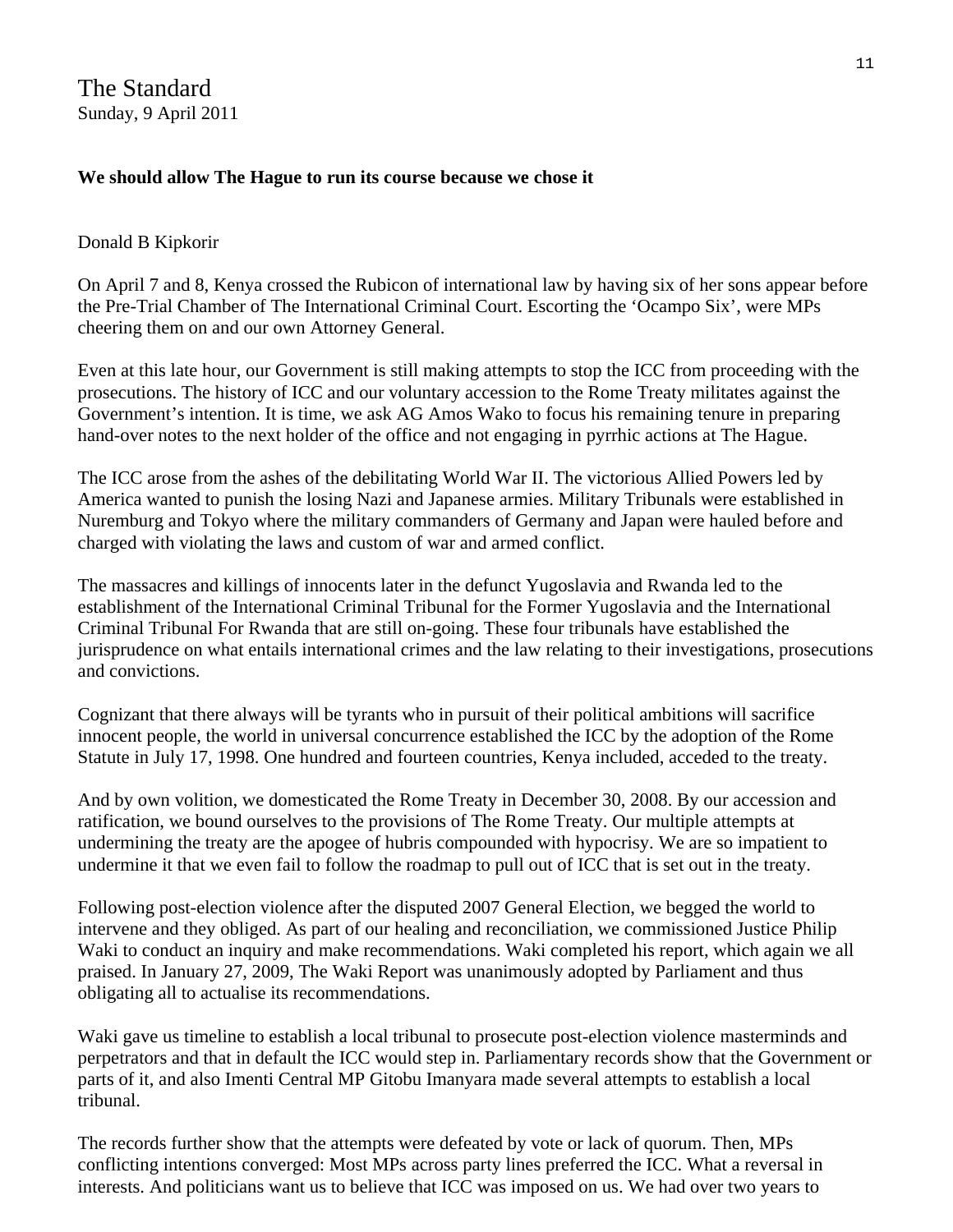The Standard Sunday, 9 April 2011

#### **We should allow The Hague to run its course because we chose it**

#### Donald B Kipkorir

On April 7 and 8, Kenya crossed the Rubicon of international law by having six of her sons appear before the Pre-Trial Chamber of The International Criminal Court. Escorting the 'Ocampo Six', were MPs cheering them on and our own Attorney General.

Even at this late hour, our Government is still making attempts to stop the ICC from proceeding with the prosecutions. The history of ICC and our voluntary accession to the Rome Treaty militates against the Government's intention. It is time, we ask AG Amos Wako to focus his remaining tenure in preparing hand-over notes to the next holder of the office and not engaging in pyrrhic actions at The Hague.

The ICC arose from the ashes of the debilitating World War II. The victorious Allied Powers led by America wanted to punish the losing Nazi and Japanese armies. Military Tribunals were established in Nuremburg and Tokyo where the military commanders of Germany and Japan were hauled before and charged with violating the laws and custom of war and armed conflict.

The massacres and killings of innocents later in the defunct Yugoslavia and Rwanda led to the establishment of the International Criminal Tribunal for the Former Yugoslavia and the International Criminal Tribunal For Rwanda that are still on-going. These four tribunals have established the jurisprudence on what entails international crimes and the law relating to their investigations, prosecutions and convictions.

Cognizant that there always will be tyrants who in pursuit of their political ambitions will sacrifice innocent people, the world in universal concurrence established the ICC by the adoption of the Rome Statute in July 17, 1998. One hundred and fourteen countries, Kenya included, acceded to the treaty.

And by own volition, we domesticated the Rome Treaty in December 30, 2008. By our accession and ratification, we bound ourselves to the provisions of The Rome Treaty. Our multiple attempts at undermining the treaty are the apogee of hubris compounded with hypocrisy. We are so impatient to undermine it that we even fail to follow the roadmap to pull out of ICC that is set out in the treaty.

Following post-election violence after the disputed 2007 General Election, we begged the world to intervene and they obliged. As part of our healing and reconciliation, we commissioned Justice Philip Waki to conduct an inquiry and make recommendations. Waki completed his report, which again we all praised. In January 27, 2009, The Waki Report was unanimously adopted by Parliament and thus obligating all to actualise its recommendations.

Waki gave us timeline to establish a local tribunal to prosecute post-election violence masterminds and perpetrators and that in default the ICC would step in. Parliamentary records show that the Government or parts of it, and also Imenti Central MP Gitobu Imanyara made several attempts to establish a local tribunal.

The records further show that the attempts were defeated by vote or lack of quorum. Then, MPs conflicting intentions converged: Most MPs across party lines preferred the ICC. What a reversal in interests. And politicians want us to believe that ICC was imposed on us. We had over two years to